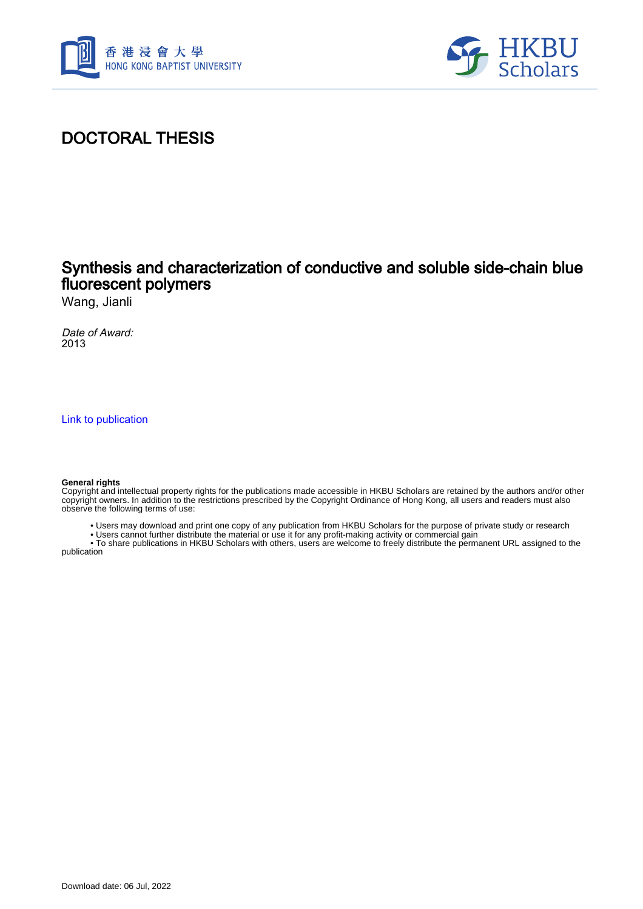



## DOCTORAL THESIS

### Synthesis and characterization of conductive and soluble side-chain blue fluorescent polymers

Wang, Jianli

Date of Award: 2013

[Link to publication](https://scholars.hkbu.edu.hk/en/studentTheses/b8bf9e94-bb54-4faf-9632-583a55448357)

#### **General rights**

Copyright and intellectual property rights for the publications made accessible in HKBU Scholars are retained by the authors and/or other copyright owners. In addition to the restrictions prescribed by the Copyright Ordinance of Hong Kong, all users and readers must also observe the following terms of use:

- Users may download and print one copy of any publication from HKBU Scholars for the purpose of private study or research
- Users cannot further distribute the material or use it for any profit-making activity or commercial gain

 • To share publications in HKBU Scholars with others, users are welcome to freely distribute the permanent URL assigned to the publication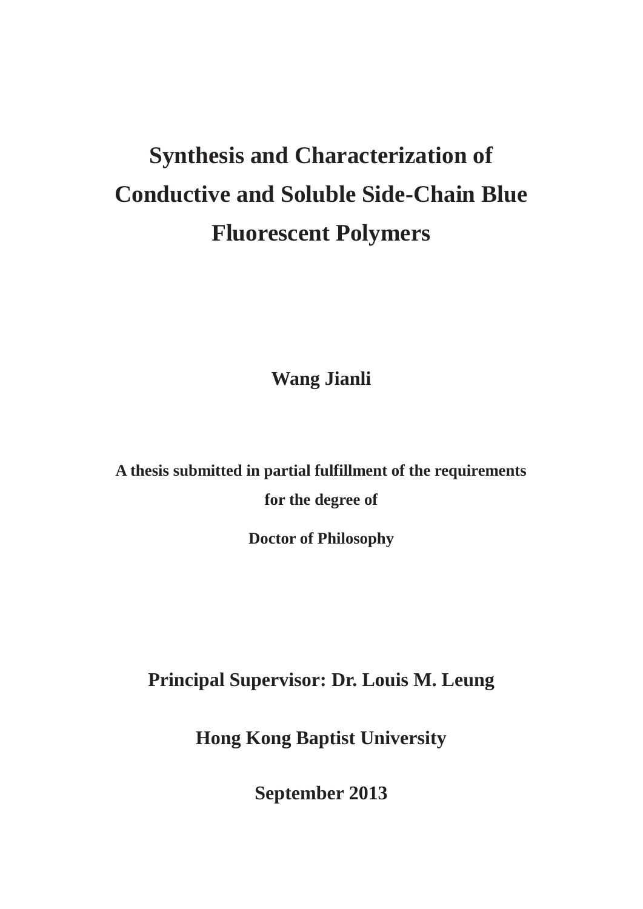# **Synthesis and Characterization of Conductive and Soluble Side-Chain Blue Fluorescent Polymers**

**Wang Jianli** 

**A thesis submitted in partial fulfillment of the requirements** 

**for the degree of** 

**Doctor of Philosophy** 

**Principal Supervisor: Dr. Louis M. Leung** 

**Hong Kong Baptist University** 

**September 2013**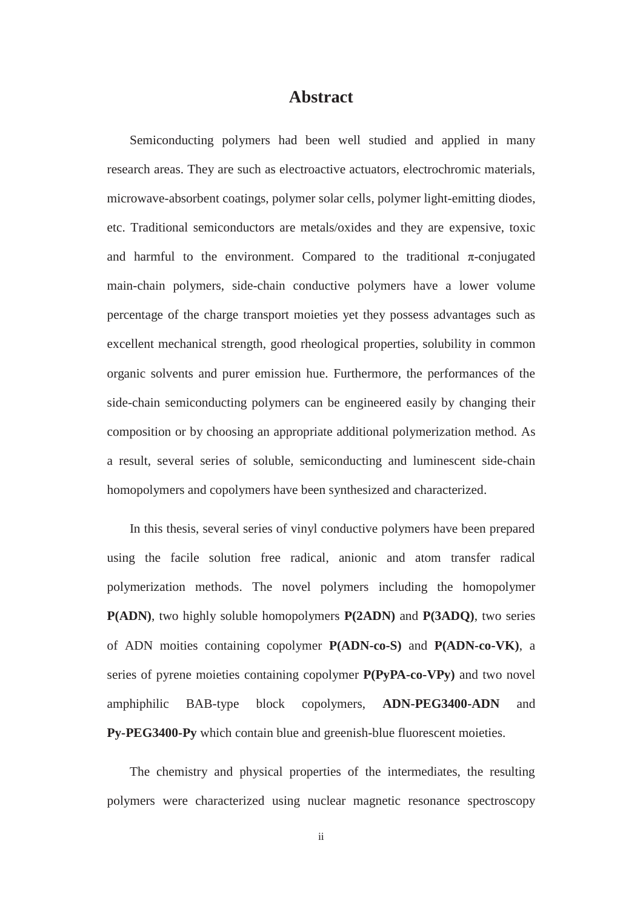### **Abstract**

Semiconducting polymers had been well studied and applied in many research areas. They are such as electroactive actuators, electrochromic materials, microwave-absorbent coatings, polymer solar cells, polymer light-emitting diodes, etc. Traditional semiconductors are metals/oxides and they are expensive, toxic and harmful to the environment. Compared to the traditional  $\pi$ -conjugated main-chain polymers, side-chain conductive polymers have a lower volume percentage of the charge transport moieties yet they possess advantages such as excellent mechanical strength, good rheological properties, solubility in common organic solvents and purer emission hue. Furthermore, the performances of the side-chain semiconducting polymers can be engineered easily by changing their composition or by choosing an appropriate additional polymerization method. As a result, several series of soluble, semiconducting and luminescent side-chain homopolymers and copolymers have been synthesized and characterized.

In this thesis, several series of vinyl conductive polymers have been prepared using the facile solution free radical, anionic and atom transfer radical polymerization methods. The novel polymers including the homopolymer **P(ADN)**, two highly soluble homopolymers **P(2ADN)** and **P(3ADQ)**, two series of ADN moities containing copolymer **P(ADN-co-S)** and **P(ADN-co-VK)**, a series of pyrene moieties containing copolymer **P(PyPA-co-VPy)** and two novel amphiphilic BAB-type block copolymers, **ADN-PEG3400-ADN** and **Py-PEG3400-Py** which contain blue and greenish-blue fluorescent moieties.

The chemistry and physical properties of the intermediates, the resulting polymers were characterized using nuclear magnetic resonance spectroscopy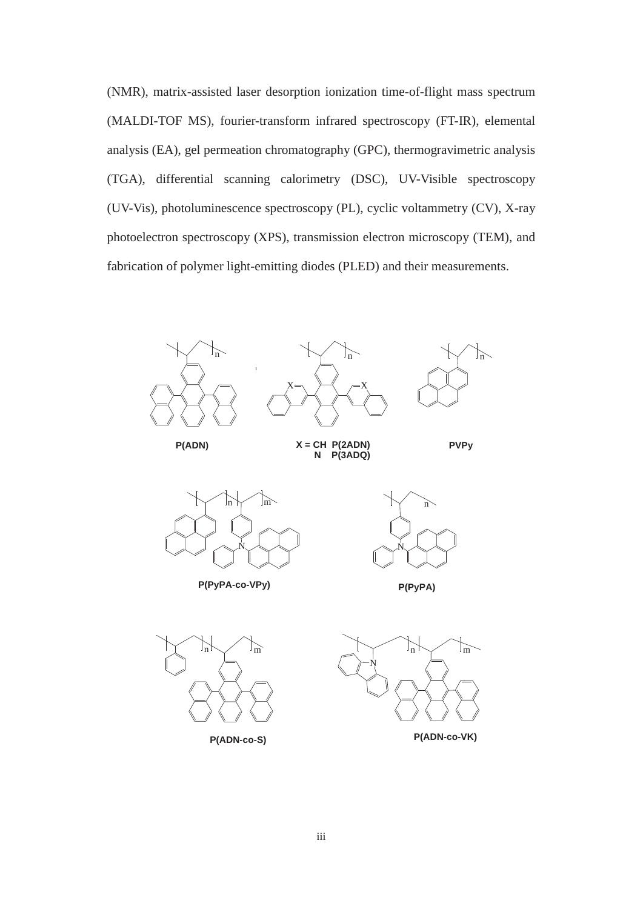(NMR), matrix-assisted laser desorption ionization time-of-flight mass spectrum (MALDI-TOF MS), fourier-transform infrared spectroscopy (FT-IR), elemental analysis (EA), gel permeation chromatography (GPC), thermogravimetric analysis (TGA), differential scanning calorimetry (DSC), UV-Visible spectroscopy (UV-Vis), photoluminescence spectroscopy (PL), cyclic voltammetry (CV), X-ray photoelectron spectroscopy (XPS), transmission electron microscopy (TEM), and fabrication of polymer light-emitting diodes (PLED) and their measurements.



**X = CH P(2ADN) N P(3ADQ)**

**PVPy**



**P(PyPA-co-VPy) P(PyPA)**





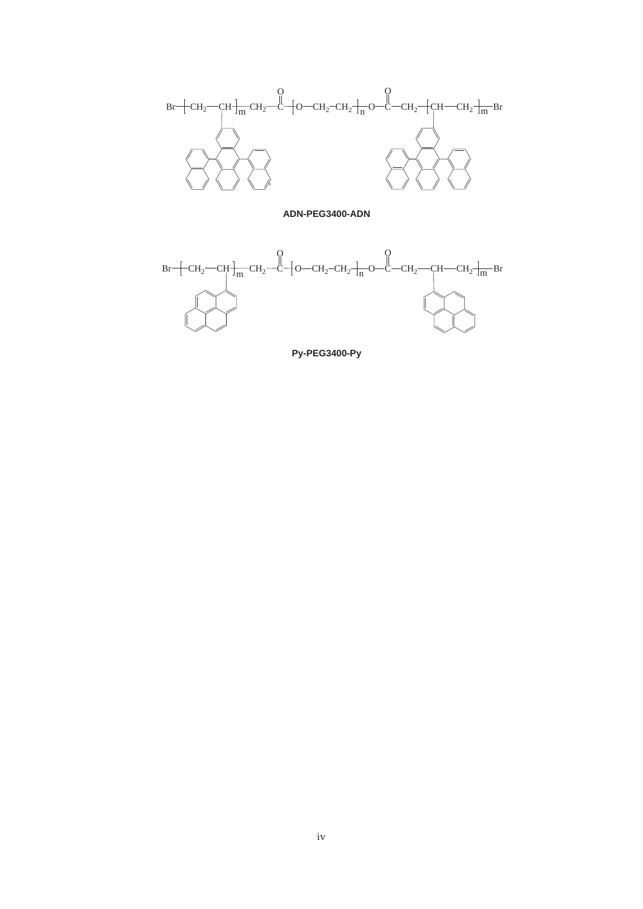

**ADN-PEG3400-ADN**



**Py-PEG3400-Py**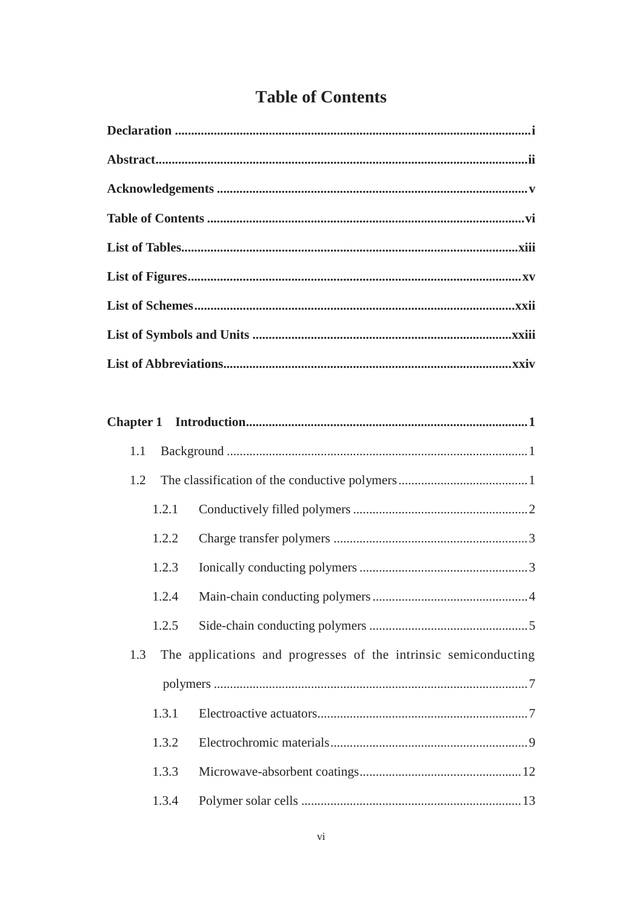## **Table of Contents**

| 1.1 |       |                                                                 |  |
|-----|-------|-----------------------------------------------------------------|--|
| 1.2 |       |                                                                 |  |
|     | 1.2.1 |                                                                 |  |
|     | 1.2.2 |                                                                 |  |
|     | 1.2.3 |                                                                 |  |
|     | 1.2.4 |                                                                 |  |
|     | 1.2.5 |                                                                 |  |
| 1.3 |       | The applications and progresses of the intrinsic semiconducting |  |
|     |       |                                                                 |  |
|     | 1.3.1 |                                                                 |  |
|     | 1.3.2 |                                                                 |  |
|     | 1.3.3 |                                                                 |  |
|     | 1.3.4 |                                                                 |  |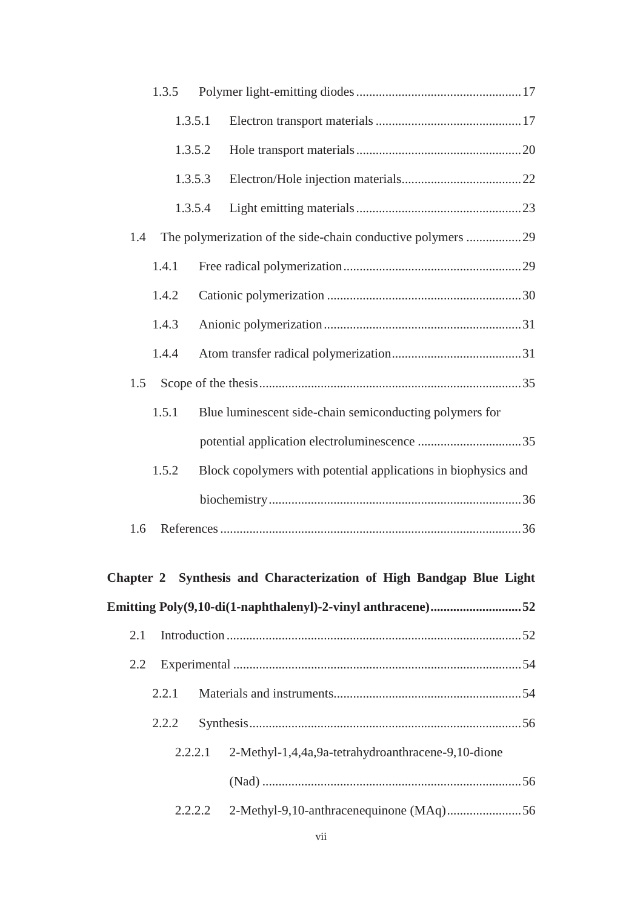|     | 1.3.5 |         |                                                                     |  |
|-----|-------|---------|---------------------------------------------------------------------|--|
|     |       | 1.3.5.1 |                                                                     |  |
|     |       | 1.3.5.2 |                                                                     |  |
|     |       | 1.3.5.3 |                                                                     |  |
|     |       | 1.3.5.4 |                                                                     |  |
| 1.4 |       |         | The polymerization of the side-chain conductive polymers 29         |  |
|     | 1.4.1 |         |                                                                     |  |
|     | 1.4.2 |         |                                                                     |  |
|     | 1.4.3 |         |                                                                     |  |
|     | 1.4.4 |         |                                                                     |  |
| 1.5 |       |         |                                                                     |  |
|     | 1.5.1 |         | Blue luminescent side-chain semiconducting polymers for             |  |
|     |       |         |                                                                     |  |
|     | 1.5.2 |         | Block copolymers with potential applications in biophysics and      |  |
|     |       |         |                                                                     |  |
| 1.6 |       |         |                                                                     |  |
|     |       |         |                                                                     |  |
|     |       |         | Chapter 2 Synthesis and Characterization of High Bandgap Blue Light |  |
|     |       |         | Emitting Poly(9,10-di(1-naphthalenyl)-2-vinyl anthracene)52         |  |
| 2.1 |       |         |                                                                     |  |
| 2.2 |       |         |                                                                     |  |
|     | 2.2.1 |         |                                                                     |  |
|     | 2.2.2 |         |                                                                     |  |
|     |       | 2.2.2.1 | 2-Methyl-1,4,4a,9a-tetrahydroanthracene-9,10-dione                  |  |
|     |       |         |                                                                     |  |
|     |       | 2.2.2.2 | 2-Methyl-9,10-anthracenequinone (MAq)56                             |  |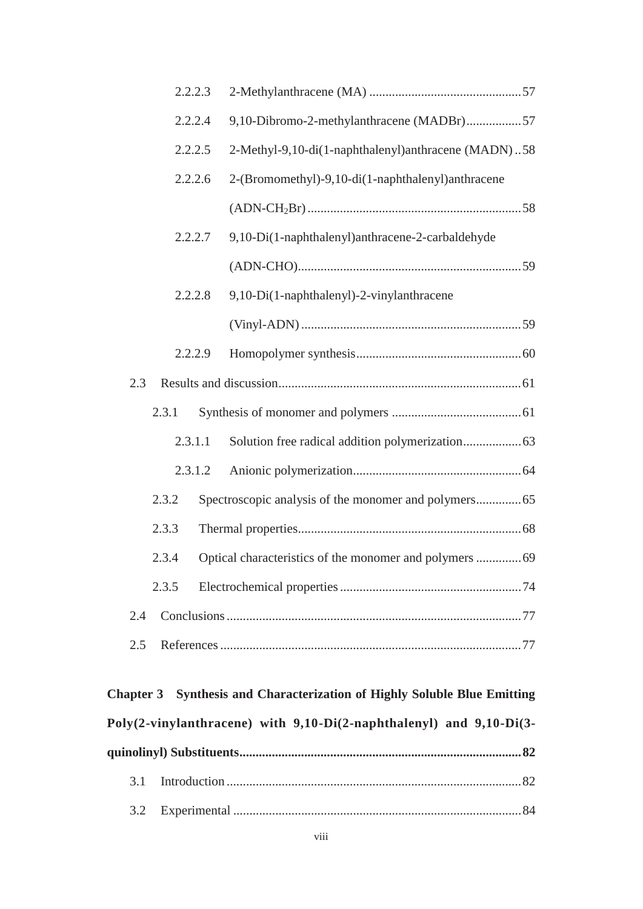|     | 2.2.2.3 |  |                                                     |  |
|-----|---------|--|-----------------------------------------------------|--|
|     | 2.2.2.4 |  | 9,10-Dibromo-2-methylanthracene (MADBr)57           |  |
|     | 2.2.2.5 |  | 2-Methyl-9,10-di(1-naphthalenyl)anthracene (MADN)58 |  |
|     | 2.2.2.6 |  | 2-(Bromomethyl)-9,10-di(1-naphthalenyl)anthracene   |  |
|     |         |  |                                                     |  |
|     | 2.2.2.7 |  | 9,10-Di(1-naphthalenyl)anthracene-2-carbaldehyde    |  |
|     |         |  |                                                     |  |
|     | 2.2.2.8 |  | 9,10-Di(1-naphthalenyl)-2-vinylanthracene           |  |
|     |         |  |                                                     |  |
|     | 2.2.2.9 |  |                                                     |  |
| 2.3 |         |  |                                                     |  |
|     | 2.3.1   |  |                                                     |  |
|     | 2.3.1.1 |  |                                                     |  |
|     | 2.3.1.2 |  |                                                     |  |
|     | 2.3.2   |  |                                                     |  |
|     | 2.3.3   |  |                                                     |  |
|     | 2.3.4   |  |                                                     |  |
|     | 2.3.5   |  |                                                     |  |
| 2.4 |         |  |                                                     |  |
| 2.5 |         |  |                                                     |  |

| Chapter 3 Synthesis and Characterization of Highly Soluble Blue Emitting |  |
|--------------------------------------------------------------------------|--|
| Poly(2-vinylanthracene) with 9,10-Di(2-naphthalenyl) and 9,10-Di(3-      |  |
|                                                                          |  |
|                                                                          |  |
|                                                                          |  |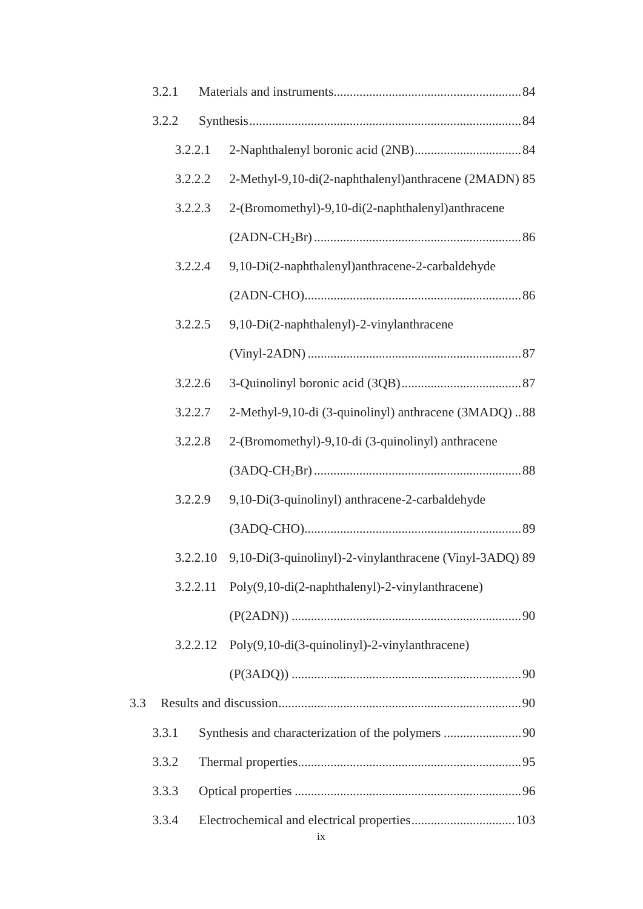|     | 3.2.1   |          |                                                         |  |
|-----|---------|----------|---------------------------------------------------------|--|
|     | 3.2.2   |          |                                                         |  |
|     |         | 3.2.2.1  |                                                         |  |
|     | 3.2.2.2 |          | 2-Methyl-9,10-di(2-naphthalenyl)anthracene (2MADN) 85   |  |
|     |         | 3.2.2.3  | 2-(Bromomethyl)-9,10-di(2-naphthalenyl)anthracene       |  |
|     |         |          |                                                         |  |
|     |         | 3.2.2.4  | 9,10-Di(2-naphthalenyl)anthracene-2-carbaldehyde        |  |
|     |         |          |                                                         |  |
|     |         | 3.2.2.5  | 9,10-Di(2-naphthalenyl)-2-vinylanthracene               |  |
|     |         |          |                                                         |  |
|     |         | 3.2.2.6  |                                                         |  |
|     |         | 3.2.2.7  | 2-Methyl-9,10-di (3-quinolinyl) anthracene (3MADQ)88    |  |
|     |         | 3.2.2.8  | 2-(Bromomethyl)-9,10-di (3-quinolinyl) anthracene       |  |
|     |         |          |                                                         |  |
|     |         | 3.2.2.9  | 9,10-Di(3-quinolinyl) anthracene-2-carbaldehyde         |  |
|     |         |          |                                                         |  |
|     |         | 3.2.2.10 | 9,10-Di(3-quinolinyl)-2-vinylanthracene (Vinyl-3ADQ) 89 |  |
|     |         | 3.2.2.11 | Poly(9,10-di(2-naphthalenyl)-2-vinylanthracene)         |  |
|     |         |          |                                                         |  |
|     |         | 3.2.2.12 | Poly(9,10-di(3-quinolinyl)-2-vinylanthracene)           |  |
|     |         |          |                                                         |  |
| 3.3 |         |          |                                                         |  |
|     | 3.3.1   |          |                                                         |  |
|     | 3.3.2   |          |                                                         |  |
|     | 3.3.3   |          |                                                         |  |
|     | 3.3.4   |          |                                                         |  |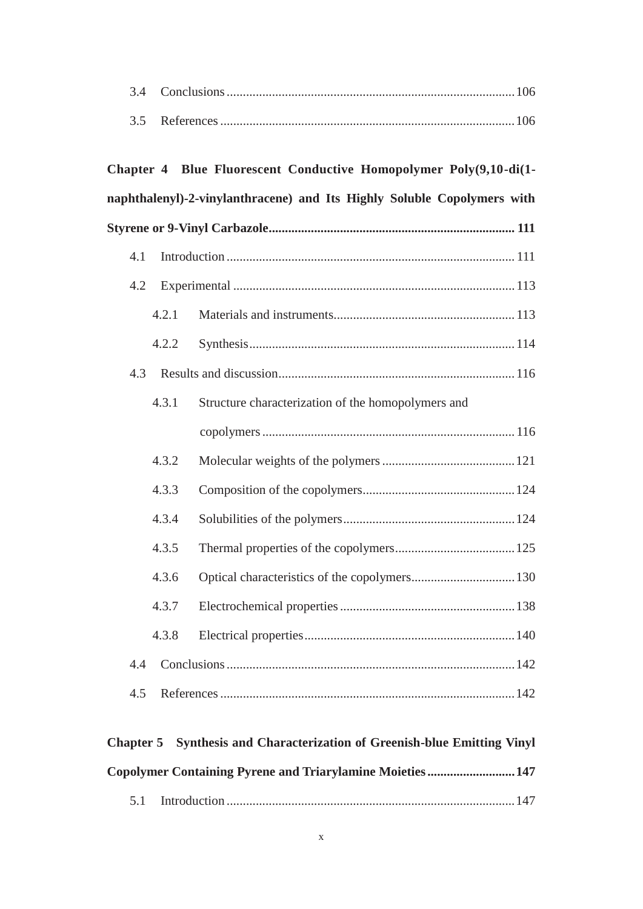| 3.4 |       |                                                                                                                                              |
|-----|-------|----------------------------------------------------------------------------------------------------------------------------------------------|
| 3.5 |       |                                                                                                                                              |
|     |       | Chapter 4 Blue Fluorescent Conductive Homopolymer Poly(9,10-di(1-<br>naphthalenyl)-2-vinylanthracene) and Its Highly Soluble Copolymers with |
|     |       |                                                                                                                                              |
| 4.1 |       |                                                                                                                                              |
| 4.2 |       |                                                                                                                                              |
|     | 4.2.1 |                                                                                                                                              |
|     | 4.2.2 |                                                                                                                                              |
| 4.3 |       |                                                                                                                                              |
|     | 4.3.1 | Structure characterization of the homopolymers and                                                                                           |
|     |       |                                                                                                                                              |
|     | 4.3.2 |                                                                                                                                              |
|     | 4.3.3 |                                                                                                                                              |
|     | 4.3.4 |                                                                                                                                              |
|     | 4.3.5 |                                                                                                                                              |
|     | 4.3.6 |                                                                                                                                              |
|     | 4.3.7 |                                                                                                                                              |
|     | 4.3.8 |                                                                                                                                              |
| 4.4 |       |                                                                                                                                              |
| 4.5 |       |                                                                                                                                              |
|     |       |                                                                                                                                              |

| <b>Chapter 5</b> Synthesis and Characterization of Greenish-blue Emitting Vinyl |  |
|---------------------------------------------------------------------------------|--|
| <b>Copolymer Containing Pyrene and Triarylamine Moieties 147</b>                |  |
|                                                                                 |  |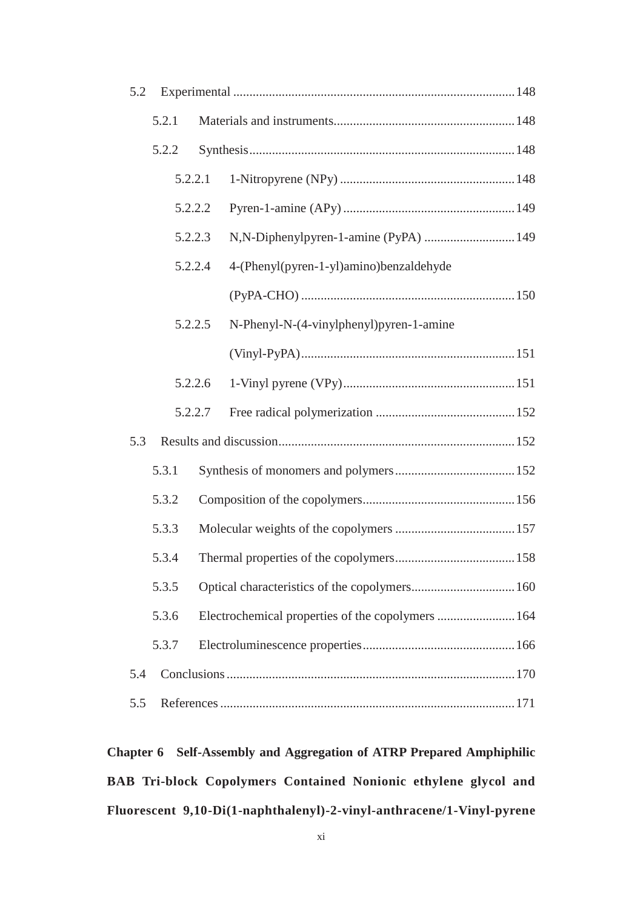| 5.2     |       |         |         |                                                   |
|---------|-------|---------|---------|---------------------------------------------------|
| 5.2.1   |       |         |         |                                                   |
|         | 5.2.2 |         |         |                                                   |
|         |       | 5.2.2.1 |         |                                                   |
|         |       | 5.2.2.2 |         |                                                   |
|         |       | 5.2.2.3 |         |                                                   |
|         |       |         | 5.2.2.4 | 4-(Phenyl(pyren-1-yl)amino)benzaldehyde           |
|         |       |         |         |                                                   |
|         |       |         | 5.2.2.5 | N-Phenyl-N-(4-vinylphenyl)pyren-1-amine           |
|         |       |         |         |                                                   |
| 5.2.2.6 |       |         |         |                                                   |
|         |       | 5.2.2.7 |         |                                                   |
| 5.3     |       |         |         |                                                   |
|         | 5.3.1 |         |         |                                                   |
|         | 5.3.2 |         |         |                                                   |
|         | 5.3.3 |         |         |                                                   |
|         | 5.3.4 |         |         |                                                   |
|         | 5.3.5 |         |         |                                                   |
|         | 5.3.6 |         |         | Electrochemical properties of the copolymers  164 |
|         | 5.3.7 |         |         |                                                   |
| 5.4     |       |         |         |                                                   |
| 5.5     |       |         |         |                                                   |

**Chapter 6 Self-Assembly and Aggregation of ATRP Prepared Amphiphilic BAB Tri-block Copolymers Contained Nonionic ethylene glycol and Fluorescent 9,10-Di(1-naphthalenyl)-2-vinyl-anthracene/1-Vinyl-pyrene**